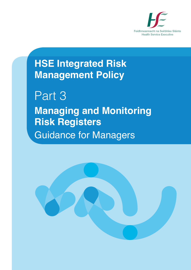

**HSE Integrated Risk Management Policy**

# Part 3

**Managing and Monitoring Risk Registers** Guidance for Managers

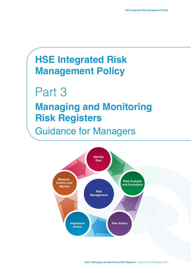# **HSE Integrated Risk Management Policy**

# Part 3

# **Managing and Monitoring Risk Registers**

Guidance for Managers

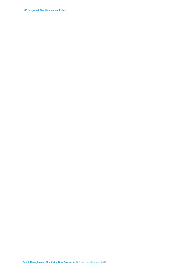**HSE Integrated Risk Management Policy**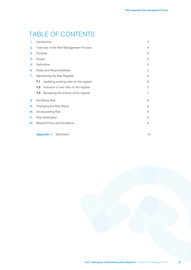# TABLE OF CONTENTS

| 1.  | Introduction<br>4                              |    |  |  |  |
|-----|------------------------------------------------|----|--|--|--|
| 2.  | Overview of the Risk Management Process        |    |  |  |  |
| 3.  | Purpose                                        |    |  |  |  |
| 4.  | Scope                                          | 5  |  |  |  |
| 5.  | Definitions                                    |    |  |  |  |
| 6.  | Roles and Responsibilities                     |    |  |  |  |
| 7.  | Maintaining the Risk Register                  | 6  |  |  |  |
|     | Updating existing risks on the register<br>7.1 | 6  |  |  |  |
|     | 7.2<br>Inclusion of new risks on the register  | 7  |  |  |  |
|     | 7.3<br>Reviewing the entirety of the register  | 7  |  |  |  |
| 8.  | Re-Rating Risk                                 | 8  |  |  |  |
| 9.  | Changing the Risk Status<br>8                  |    |  |  |  |
| 10. | De-escalating Risk<br>9                        |    |  |  |  |
| 11. | <b>Risk Notification</b><br>9                  |    |  |  |  |
| 12. | Related Policy and Guidance                    | 9  |  |  |  |
|     |                                                |    |  |  |  |
|     | <b>Appendix 1: Definitions</b>                 | 10 |  |  |  |

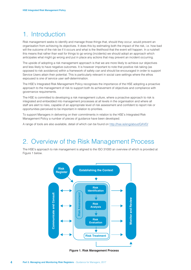# <span id="page-5-0"></span>1. Introduction

Risk management seeks to identify and manage those things that, should they occur, would prevent an organisation from achieving its objectives. It does this by estimating both the impact of the risk, i.e. how bad will the outcome of the risk be if it occurs and what is the likelihood that the event will happen. In a nutshell this means that rather than wait for things to go wrong (incidents) we should adopt an approach which anticipates what might go wrong and put in place any actions that may prevent an incident occurring.

The upside of adopting a risk management approach is that we are more likely to achieve our objectives and less likely to have negative outcomes. It is however important to note that positive risk taking (as opposed to risk avoidance) within a framework of safety can and should be encouraged in order to support Service Users attain their potential. This is particularly relevant in social care settings where the ethos espoused is one of service user self-determination.

The HSE's Integrated Risk Management Policy recognises the importance of the HSE adopting a proactive approach to the management of risk to support both its achievement of objectives and compliance with governance requirements.

The HSE is committed to developing a risk management culture, where a proactive approach to risk is integrated and embedded into management processes at all levels in the organisation and where all staff are alert to risks, capable of an appropriate level of risk assessment and confident to report risk or opportunities perceived to be important in relation to priorities.

To support Managers in delivering on their commitments in relation to the HSE's Integrated Risk Management Policy a number of pieces of guidance have been developed.

A range of tools are also available, detail of which can be found on<http://hse.ie/eng/about/QAVD/>

## 2. Overview of the Risk Management Process

The HSE's approach to risk management is aligned to the ISO 31000 an overview of which is provided at Figure 1 below.



**Figure 1. Risk Management Process**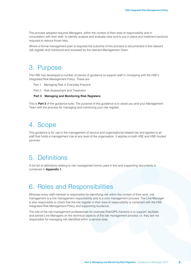<span id="page-6-0"></span>The process adopted requires Managers, within the context of their area of responsibility and in consultation with their staff, to identify analyse and evaluate risks and to put in place any treatment (actions) required to reduce those risks.

Where a formal management plan is required the outcome of this process is documented in the relevant risk register and monitored and reviewed by the relevant Management Team.

## 3. Purpose

The HSE has developed a number of pieces of guidance to support staff in complying with the HSE's Integrated Risk Management Policy. These are

- Part 1 Managing Risk in Everyday Practice
- Part 2 Risk Assessment and Treatment

#### **Part 3 Managing and Monitoring Risk Registers**

This is **Part 3** of the guidance suite. The purpose of this guidance is to assist you and your Management Team with the process for managing and monitoring your risk register.

# 4. Scope

This guidance is for use in the management of service and organisational related risk and applies to all staff that holds a management role at any level of the organisation. It applies to both HSE and HSE-funded services.

## 5. Definitions

A full list of definitions relating to risk management terms used in this and supporting documents is contained in **Appendix 1**.

### 6. Roles and Responsibilities

Whereas every staff member is responsible for identifying risk within the context of their work, risk management is a line management responsibility and is a core management process. The Line Manager is also responsible to check that the risk register in their area of responsibility is compliant with the HSE Integrated Risk Management Policy and supporting Guidance.

The role of the risk management professionals for example Risk/QPS Advisors is to support, facilitate and advise Line Managers on the technical aspects of the risk management process i.e. they are not responsible for managing risk identified within a service area.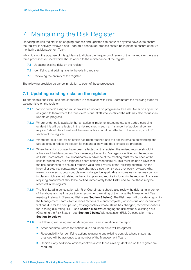# <span id="page-7-0"></span>7. Maintaining the Risk Register

Updating the risk register is an ongoing process and updates can occur at any time however to ensure the register is actively reviewed and updated a scheduled process should be in place to ensure effective monitoring at Management Team.

Whilst it is not the purpose of this guidance to dictate the frequency of review of the risk register there are three processes outlined which should attach to the maintenance of the register:

- **7.1** Updating existing risks on the register
- **7.2** Identifying and adding risks to the existing register
- **7.3** Reviewing the entirety of the register

The following provides guidance in relation to each of these processes.

#### **7.1 Updating existing risks on the register**

To enable this, the Risk Lead should facilitate in association with Risk Coordinators the following steps for existing risks on the register.

- **7.1.1** 'Action owners' assigned must provide an update on progress to the Risk Owner on any action assigned to them where the 'due date' is due. Staff who identified the risk may also request an update on progress.
- **7.1.2** Where evidence is available that an action is implemented/complete and added control is evident this will be reflected in the risk register. In such an instance the 'additional control required' should be closed and the new control should be reflected in the 'existing control' section of the register.
- **7.1.3** Where the 'due date' for an action has been reached and the action remains outstanding, the update should reflect the reason for this and a 'new due date' should be proposed.
- **7.1.4** When the action updates have been reflected on the register, the revised register should, in advance of the Management Team meeting, be sent to Managers identified on the register as Risk Coordinators. Risk Coordinators in advance of the meeting must review each of the risks for which they are assigned a coordinating responsibility. This must include a review of the risk description to ensure it remains valid and a review of the 'existing controls'. As the internal or external context may have changed since the risk was previously reviewed what were considered 'strong' controls may no longer be applicable or some new ones may be now in place which are not related to the action plan and require inclusion in the register. Any areas requiring amendment should be notified immediately to the Risk Lead so that these may be reflected in the register.
- **7.1.5** The Risk Lead in consultation with Risk Coordinators should also review the risk rating in context of the above and be in a position to recommend re-rating of the risk at the Management Team meeting if relevant. (Re-rating Risk – see **Section 8 below**). The Risk Lead will provide a report to the Management Team which outlines 'actions due and complete', 'actions due and incomplete', 'actions due for the next period', existing controls whose status has changed, recommendations for re-rating (Re-rating Risk – see **Section 8 below**)/changing the risk status of existing risks (Changing the Risk Status – see **Section 9 below**)/de-escalation (Risk De-escalation **–** see **Section 10 below**).
- **7.1.6** The following will be agreed at Management Team in relation to the report
	- Amended time frames for 'actions due and incomplete' will be agreed
	- **n** Responsibility for identifying actions relating to any existing controls whose status has changed will be assigned to a member of the Management Team.
	- **•** Decide if any additional actions/controls above those already identified on the register are required.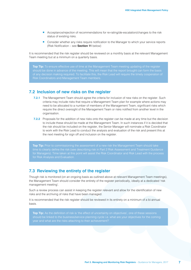- <span id="page-8-0"></span>Acceptance/rejection of recommendations for re-rating/de-escalation/changes to the risk status of existing risks.
- **•** Consider whether any risks require notification to the Manager to which your service reports (Risk Notification – see **Section 11** below)

It is recommended that the risk register should be reviewed on a monthly basis at the relevant Management Team meeting but at a minimum on a quarterly basis.

**Top Tip:** To ensure effective use of time at the Management Team meeting updating of the register

#### **7.2 Inclusion of new risks on the register**

- **7.2.1** The Management Team should agree the criteria for inclusion of new risks on the register. Such criteria may include risks that require a Management Team plan for example where actions may need to be allocated to a number of members of the Management Team, significant risks which require the direct oversight of the Management Team or risks notified from another level in the organisation.
- **7.2.2** Proposals for the addition of new risks onto the register can be made at any time but the decision to include these should be made at the Management Team. In such instances if it is decided that the risk should be included on the register, the Senior Manager will nominate a Risk Coordinator to work with the Risk Lead to conduct the analysis and evaluation of the risk and present this at the next meeting for sign off and inclusion on the register.

**Top Tip:** Prior to commissioning the assessment of a new risk the Management Team should take

#### **7.3 Reviewing the entirety of the register**

Though risk is monitored (on an ongoing basis as outlined above at relevant Management Team meetings), the Management Team should consider the entirety of the register periodically, ideally at a dedicated 'risk management meeting'.

Such a review process can assist in keeping the register relevant and allow for the identification of new risks and the archiving of risks that have been managed.

It is recommended that the risk register should be reviewed in its entirety on a minimum of a bi-annual basis.

**Top Tip:** As the definition of risk is 'the effect of uncertainty on objectives', one of these sessions should be linked to the business/service planning cycle i.e. what are your objectives for the coming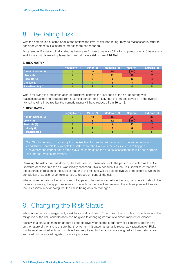## <span id="page-9-0"></span>8. Re-Rating Risk

With the completion of some or all of the actions the level of risk (the rating) may be reassessed in order to consider whether its likelihood or impact score has reduced.

For example, if a risk originally rated as having an 4 impact (major) x 5 likelihood (almost certain) before any additional controls were implemented it would have a risk score of **20 Red.**

#### **3. RISK MATRIX**

|                           | Negligible (1) | Minor (2) | Moderate (3) | Major (4) | Extreme (5) |
|---------------------------|----------------|-----------|--------------|-----------|-------------|
| <b>Almost Certain (5)</b> |                | 10        | 15           | 20        | 25          |
| Likely (4)                |                |           | 12           |           | 20          |
| Possible (3)              |                |           | 9            |           | 15          |
| Unlikely (2)              |                |           |              |           | 10          |
| Rare/Remote (1)           |                |           |              |           |             |

Where following the implementation of additional controls the likelihood of the risk occurring was reassessed as having reduced from 5 (almost certain) to 4 (likely) but the impact stayed at 4, the overall risk rating will still be red but the numeric rating will have reduced from **20 to 16.**

#### **3. RISK MATRIX**

|                           | Negligible (1) | Minor (2) | Moderate (3) | Major (4) | Extreme (5)     |
|---------------------------|----------------|-----------|--------------|-----------|-----------------|
| <b>Almost Certain (5)</b> |                | 10        | 15           |           | 25 <sub>l</sub> |
| Likely (4)                |                |           | 12           | 16        | 20              |
| Possible (3)              |                |           | 9            |           | 15 <sub>1</sub> |
| Unlikely (2)              |                |           | 6            |           | 10              |
| Rare/Remote (1)           |                |           |              |           |                 |

**Top Tip:** In general, on re-rating it is the likelihood score that will reduce with the implementation 'the impact remains the impact.'

Re-rating the risk should be done by the Risk Lead in consultation with the person who acted as the Risk Coordinator at the time the risk was initially assessed. This is because it is the Risk Coordinator that has the expertise in relation to the subject matter of the risk and will be able to 'evaluate' the extent to which the completion of additional controls serves to reduce or 'control' the risk.

Where implementation of actions does not appear to be serving to reduce the risk, consideration should be given to reviewing the appropriateness of the actions identified and revising the actions planned. Re-rating the risk assists in evidencing that the risk is being actively managed.

# 9. Changing the Risk Status

Whilst under active management, a risk has a status of being 'open'. With the completion of actions and the mitigation of the risk, consideration can be given to changing its status to either 'monitor' or 'closed'.

Risks with a status of 'monitor' undergo periodic review for example quarterly or six monthly depending on the nature of the risk, to ensure that they remain mitigated 'as far as is reasonably practicable'. Risks that have all required actions completed and require no further action are assigned a 'closed' status are archived onto a 'closed register' for audit purposes.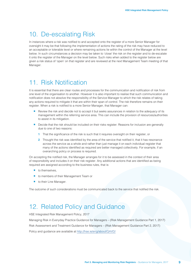# <span id="page-10-0"></span>10. De-escalating Risk

In instances where a risk was notified to and accepted onto the register of a more Senior Manager for oversight it may be that following the implementation of actions the rating of the risk may have reduced to an acceptable or tolerable level or where remaining actions lie within the control of the Manager at the level below. In such circumstances a decision may be taken to 'close' the risk on the register and to de-escalate it onto the register of the Manager on the level below. Such risks when added to the register below are given a risk status of 'open' on that register and are reviewed at the next Management Team meeting of that Manager.

# 11. Risk Notification

It is essential that there are clear routes and processes for the communication and notification of risk from one level of the organisation to another. However it is also important to realise that such communication and notification does not absolve the responsibility of the Service Manager to which the risk relates of taking any actions required to mitigate it that are within their span of control. The risk therefore remains on their register. When a risk is notified to a more Senior Manager, that Manager can:

- n Review the risk and decide not to accept it but seeks assurances in relation to the adequacy of its management within the referring service area. This can include the provision of resources/authorities to assist in its mitigation.
- **•** Decide that the risk should be included on their risks register. Reasons for inclusion are generally due to one of two reasons:
	- **1** That the significance of the risk is such that it requires oversight on their register, or
	- **2** Thought the risk was identified by the area of the service that notified it, that it has resonance across the service as a whole and rather than just manage it on each individual register that many of the actions identified as required are better managed collectively. For example, if an overarching policy or process is required.

On accepting the notified risk, the Manager arranges for it to be assessed in the context of their area of responsibility and includes it on their risk register. Any additional actions that are identified as being required are assigned according to the business rules, that is:

- $\blacksquare$  to themselves,
- to members of their Management Team or
- to their Line Manager.

The outcome of such considerations must be communicated back to the service that notified the risk.

# 12. Related Policy and Guidance

HSE Integrated Risk Management Policy, 2017

Managing Risk in Everyday Practice Guidance for Managers – (Risk Management Guidance Part 1, 2017) Risk Assessment and Treatment Guidance for Managers – (Risk Management Guidance Part 2, 2017) Policy and guidance are available at <http://hse.ie/eng/about/QAVD/>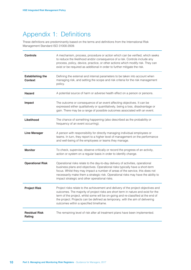# <span id="page-11-0"></span>Appendix 1: Definitions

These definitions are predominantly based on the terms and definitions from the International Risk Management Standard ISO 31000:2009.

| <b>Controls</b>                           | A mechanism, process, procedure or action which can be verified, which seeks<br>to reduce the likelihood and/or consequence of a risk. Controls include any<br>process, policy, device, practice, or other actions which modify risk. They can<br>exist or be required as additional in order to further mitigate the risk.                                                              |
|-------------------------------------------|------------------------------------------------------------------------------------------------------------------------------------------------------------------------------------------------------------------------------------------------------------------------------------------------------------------------------------------------------------------------------------------|
| <b>Establishing the</b><br><b>Context</b> | Defining the external and internal parameters to be taken into account when<br>managing risk, and setting the scope and risk criteria for the risk management<br>policy.                                                                                                                                                                                                                 |
| <b>Hazard</b>                             | A potential source of harm or adverse health effect on a person or persons.                                                                                                                                                                                                                                                                                                              |
| Impact                                    | The outcome or consequence of an event affecting objectives. It can be<br>expressed either qualitatively or quantitatively, being a loss, disadvantage or<br>gain. There may be a range of possible outcomes associated with an event.                                                                                                                                                   |
| Likelihood                                | The chance of something happening (also described as the probability or<br>frequency of an event occurring).                                                                                                                                                                                                                                                                             |
| <b>Line Manager</b>                       | A person with responsibility for directly managing individual employees or<br>teams. In turn, they report to a higher level of management on the performance<br>and well-being of the employees or teams they manage.                                                                                                                                                                    |
| <b>Monitor</b>                            | To check, supervise, observe critically or record the progress of an activity,<br>action or system on a regular basis in order to identify change.                                                                                                                                                                                                                                       |
| <b>Operational Risk</b>                   | Operational risks relate to the day-to-day delivery of activities, operational<br>business plans and objectives. Operational risks typically have a short-term<br>focus. Whilst they may impact a number of areas of the service, this does not<br>necessarily make them a strategic risk. Operational risks may have the ability to<br>impact strategic and other operational risks.    |
| <b>Project Risk</b>                       | Project risks relate to the achievement and delivery of the project objectives and<br>outcomes. The majority of project risks are short term in nature and exist for the<br>term of the project, whilst some will be on-going and re-classified at the end of<br>the project. Projects can be defined as temporary, with the aim of delivering<br>outcomes within a specified timeframe. |
| <b>Residual Risk</b><br>Rating            | The remaining level of risk after all treatment plans have been implemented.                                                                                                                                                                                                                                                                                                             |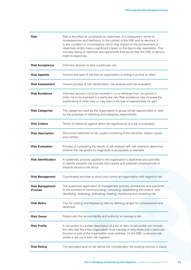| <b>Risk</b>                              | Risk is the effect of uncertainty on objectives. It is measured in terms of<br>consequences and likelihood. In the context of the HSE and its services, it<br>is any condition or circumstance which may impact on the achievement of<br>objectives and/or have a significant impact on the day-to-day operations. This<br>includes failing to maximise any opportunity that would help the HSE or service<br>meet its objectives. |
|------------------------------------------|------------------------------------------------------------------------------------------------------------------------------------------------------------------------------------------------------------------------------------------------------------------------------------------------------------------------------------------------------------------------------------------------------------------------------------|
| <b>Risk Acceptance</b>                   | Informed decision to take a particular risk.                                                                                                                                                                                                                                                                                                                                                                                       |
| <b>Risk Appetite</b>                     | Amount and type of risk that an organisation is willing to pursue or retain.                                                                                                                                                                                                                                                                                                                                                       |
| <b>Risk Assessment</b>                   | Overall process of risk identification, risk analysis and risk evaluation.                                                                                                                                                                                                                                                                                                                                                         |
| <b>Risk Avoidance</b>                    | Informed decision not to be involved in, or to withdraw from, an activity in<br>order not to be exposed to a particular risk. Risk avoidance may increase the<br>significance of other risks or may lead to the loss of opportunities for gain.                                                                                                                                                                                    |
| <b>Risk Categories</b>                   | The categories used by the organisation to group similar opportunities or risks<br>for the purposes of reporting and assigning responsibility.                                                                                                                                                                                                                                                                                     |
| <b>Risk Criteria</b>                     | Terms of reference against which the significance of a risk is evaluated.                                                                                                                                                                                                                                                                                                                                                          |
| <b>Risk Description</b>                  | Structured statement of risk usually containing three elements: impact, cause<br>and context.                                                                                                                                                                                                                                                                                                                                      |
| <b>Risk Evaluation</b>                   | Process of comparing the results of risk analysis with risk criteria to determine<br>whether the risk and/or its magnitude is acceptable or tolerable.                                                                                                                                                                                                                                                                             |
| <b>Risk Identification</b>               | A systematic process applied to the organisation's objectives and activities<br>to identify possible risk sources and causes and potential consequences or<br>impacts should a risk occur.                                                                                                                                                                                                                                         |
| <b>Risk Management</b>                   | Coordinated activities to direct and control an organisation with regard to risk.                                                                                                                                                                                                                                                                                                                                                  |
| <b>Risk Management</b><br><b>Process</b> | The systematic application of management policies, procedures and practices<br>to the activities of communicating, consulting, establishing the context, and<br>identifying, analysing, evaluating, treating, monitoring and reviewing risk.                                                                                                                                                                                       |
| <b>Risk Matrix</b>                       | Tool for ranking and displaying risks by defining ranges for consequence and<br>likelihood.                                                                                                                                                                                                                                                                                                                                        |
| <b>Risk Owner</b>                        | Person with the accountability and authority to manage a risk.                                                                                                                                                                                                                                                                                                                                                                     |
| <b>Risk Profile</b>                      | A risk profile is a written description of a set of risks. A risk profile can include<br>the risks that the entire organsation must manage or only those that a particular<br>function or part of the organisation must address. (In the HSE, a services risk<br>profile is set out in their risk register).                                                                                                                       |
| <b>Risk Rating</b>                       | The estimated level of risk taking into consideration the existing controls in place.                                                                                                                                                                                                                                                                                                                                              |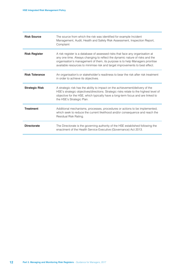| <b>Risk Source</b>    | The source from which the risk was identified for example Incident<br>Management, Audit, Health and Safety Risk Assessment, Inspection Report,<br>Complaint                                                                                                                                                                    |
|-----------------------|--------------------------------------------------------------------------------------------------------------------------------------------------------------------------------------------------------------------------------------------------------------------------------------------------------------------------------|
| <b>Risk Register</b>  | A risk register is a database of assessed risks that face any organisation at<br>any one time. Always changing to reflect the dynamic nature of risks and the<br>organisation's management of them, its purpose is to help Managers prioritise<br>available resources to minimise risk and target improvements to best effect. |
| <b>Risk Tolerance</b> | An organisation's or stakeholder's readiness to bear the risk after risk treatment<br>in order to achieve its objectives.                                                                                                                                                                                                      |
| <b>Strategic Risk</b> | A strategic risk has the ability to impact on the achievement/delivery of the<br>HSE's strategic objectives/directions. Strategic risks relate to the highest level of<br>objective for the HSE, which typically have a long-term focus and are linked to<br>the HSE's Strategic Plan.                                         |
| <b>Treatment</b>      | Additional mechanisms, processes, procedures or actions to be implemented,<br>which seek to reduce the current likelihood and/or consequence and reach the<br>Residual Risk Rating.                                                                                                                                            |
| <b>Directorate</b>    | The Directorate is the governing authority of the HSE established following the<br>enactment of the Health Service Executive (Governance) Act 2013.                                                                                                                                                                            |